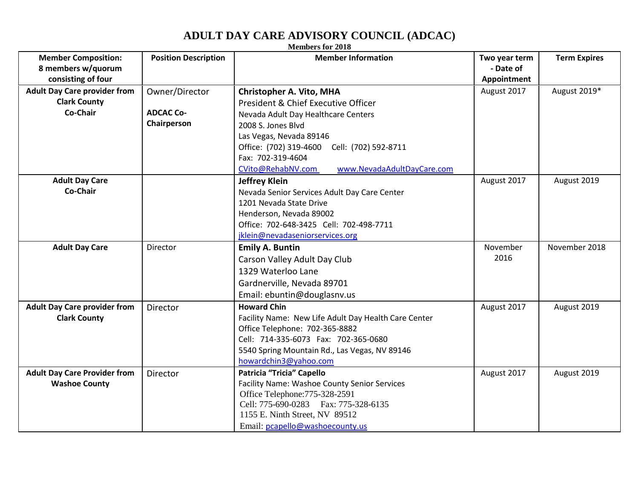## **ADULT DAY CARE ADVISORY COUNCIL (ADCAC)**

| <b>Members for 2018</b>             |                             |                                                                                |               |                     |  |  |  |
|-------------------------------------|-----------------------------|--------------------------------------------------------------------------------|---------------|---------------------|--|--|--|
| <b>Member Composition:</b>          | <b>Position Description</b> | <b>Member Information</b>                                                      | Two year term | <b>Term Expires</b> |  |  |  |
| 8 members w/quorum                  |                             |                                                                                | - Date of     |                     |  |  |  |
| consisting of four                  |                             |                                                                                | Appointment   |                     |  |  |  |
| <b>Adult Day Care provider from</b> | Owner/Director              | <b>Christopher A. Vito, MHA</b>                                                | August 2017   | August 2019*        |  |  |  |
| <b>Clark County</b>                 |                             | President & Chief Executive Officer                                            |               |                     |  |  |  |
| Co-Chair                            | <b>ADCAC Co-</b>            | Nevada Adult Day Healthcare Centers                                            |               |                     |  |  |  |
|                                     | Chairperson                 | 2008 S. Jones Blvd                                                             |               |                     |  |  |  |
|                                     |                             | Las Vegas, Nevada 89146                                                        |               |                     |  |  |  |
|                                     |                             | Office: (702) 319-4600<br>Cell: (702) 592-8711                                 |               |                     |  |  |  |
|                                     |                             | Fax: 702-319-4604                                                              |               |                     |  |  |  |
|                                     |                             | www.NevadaAdultDayCare.com<br>CVito@RehabNV.com                                |               |                     |  |  |  |
| <b>Adult Day Care</b>               |                             | <b>Jeffrey Klein</b>                                                           | August 2017   | August 2019         |  |  |  |
| Co-Chair                            |                             | Nevada Senior Services Adult Day Care Center                                   |               |                     |  |  |  |
|                                     |                             | 1201 Nevada State Drive                                                        |               |                     |  |  |  |
|                                     |                             | Henderson, Nevada 89002                                                        |               |                     |  |  |  |
|                                     |                             | Office: 702-648-3425 Cell: 702-498-7711                                        |               |                     |  |  |  |
|                                     |                             | jklein@nevadaseniorservices.org                                                |               |                     |  |  |  |
|                                     |                             |                                                                                |               |                     |  |  |  |
| <b>Adult Day Care</b>               | Director                    | <b>Emily A. Buntin</b>                                                         | November      | November 2018       |  |  |  |
|                                     |                             | Carson Valley Adult Day Club                                                   | 2016          |                     |  |  |  |
|                                     |                             | 1329 Waterloo Lane                                                             |               |                     |  |  |  |
|                                     |                             |                                                                                |               |                     |  |  |  |
|                                     |                             | Gardnerville, Nevada 89701                                                     |               |                     |  |  |  |
|                                     |                             | Email: ebuntin@douglasnv.us                                                    |               |                     |  |  |  |
| <b>Adult Day Care provider from</b> | <b>Director</b>             | <b>Howard Chin</b>                                                             | August 2017   | August 2019         |  |  |  |
| <b>Clark County</b>                 |                             | Facility Name: New Life Adult Day Health Care Center                           |               |                     |  |  |  |
|                                     |                             | Office Telephone: 702-365-8882                                                 |               |                     |  |  |  |
|                                     |                             | Cell: 714-335-6073 Fax: 702-365-0680                                           |               |                     |  |  |  |
|                                     |                             | 5540 Spring Mountain Rd., Las Vegas, NV 89146                                  |               |                     |  |  |  |
|                                     |                             | howardchin3@yahoo.com                                                          |               |                     |  |  |  |
| <b>Adult Day Care Provider from</b> | Director                    | Patricia "Tricia" Capello                                                      | August 2017   | August 2019         |  |  |  |
| <b>Washoe County</b>                |                             | Facility Name: Washoe County Senior Services<br>Office Telephone: 775-328-2591 |               |                     |  |  |  |
|                                     |                             | Cell: 775-690-0283 Fax: 775-328-6135                                           |               |                     |  |  |  |
|                                     |                             | 1155 E. Ninth Street, NV 89512                                                 |               |                     |  |  |  |